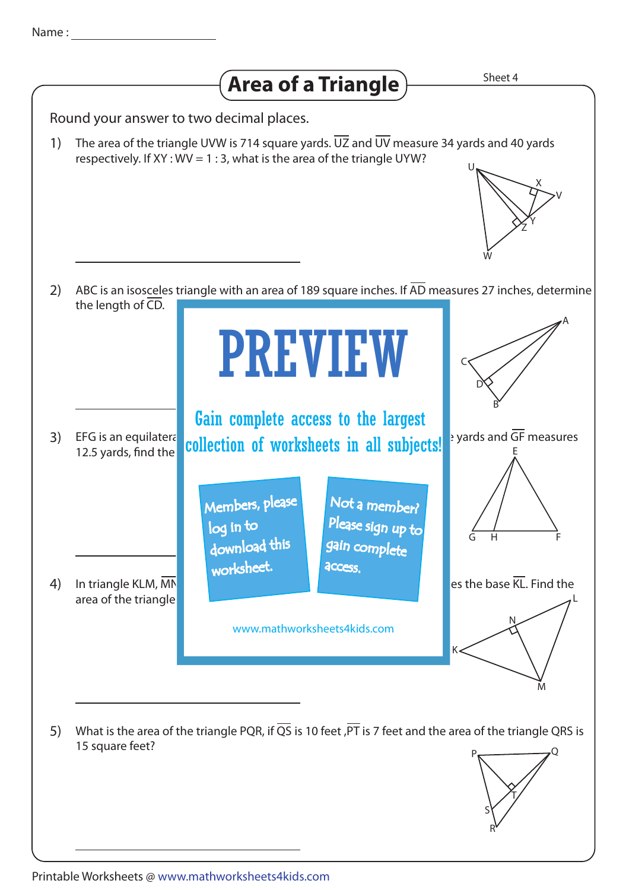